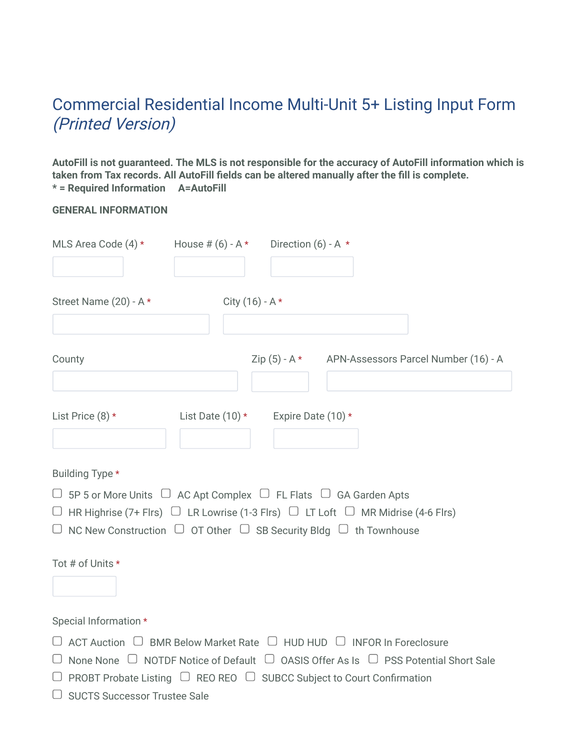## Commercial Residential Income Multi-Unit 5+ Listing Input Form (Printed Version)

**AutoFill is not guaranteed. The MLS is not responsible for the accuracy of AutoFill information which is taken from Tax records. All AutoFill fields can be altered manually after the fill is complete. \* = Required Information A=AutoFill**

| <b>GENERAL INFORMATION</b> |
|----------------------------|
|                            |

| MLS Area Code (4) *                                                                                                                                                             | House # $(6) - A$ * Direction $(6) - A$ * |                    |                                                                                                                                                                                                        |
|---------------------------------------------------------------------------------------------------------------------------------------------------------------------------------|-------------------------------------------|--------------------|--------------------------------------------------------------------------------------------------------------------------------------------------------------------------------------------------------|
| Street Name (20) - A *                                                                                                                                                          |                                           | City $(16) - A *$  |                                                                                                                                                                                                        |
| County                                                                                                                                                                          |                                           |                    | Zip (5) - A * APN-Assessors Parcel Number (16) - A                                                                                                                                                     |
| List Price $(8)$ *                                                                                                                                                              | List Date $(10)*$                         | Expire Date (10) * |                                                                                                                                                                                                        |
| Building Type *                                                                                                                                                                 |                                           |                    |                                                                                                                                                                                                        |
| $\Box$ 5P 5 or More Units $\Box$ AC Apt Complex $\Box$ FL Flats $\Box$ GA Garden Apts<br>$\Box$ NC New Construction $\Box$ OT Other $\Box$ SB Security Bldg $\Box$ th Townhouse |                                           |                    | $\Box$ HR Highrise (7+ Flrs) $\Box$ LR Lowrise (1-3 Flrs) $\Box$ LT Loft $\Box$ MR Midrise (4-6 Flrs)                                                                                                  |
| Tot # of Units *                                                                                                                                                                |                                           |                    |                                                                                                                                                                                                        |
| Special Information *                                                                                                                                                           |                                           |                    |                                                                                                                                                                                                        |
| $\Box$ PROBT Probate Listing $\Box$ REO REO $\Box$ SUBCC Subject to Court Confirmation<br>$\Box$ SUCTS Successor Trustee Sale                                                   |                                           |                    | $\Box$ ACT Auction $\Box$ BMR Below Market Rate $\Box$ HUD HUD $\Box$ INFOR In Foreclosure<br>$\Box$ None None $\Box$ NOTDF Notice of Default $\Box$ OASIS Offer As Is $\Box$ PSS Potential Short Sale |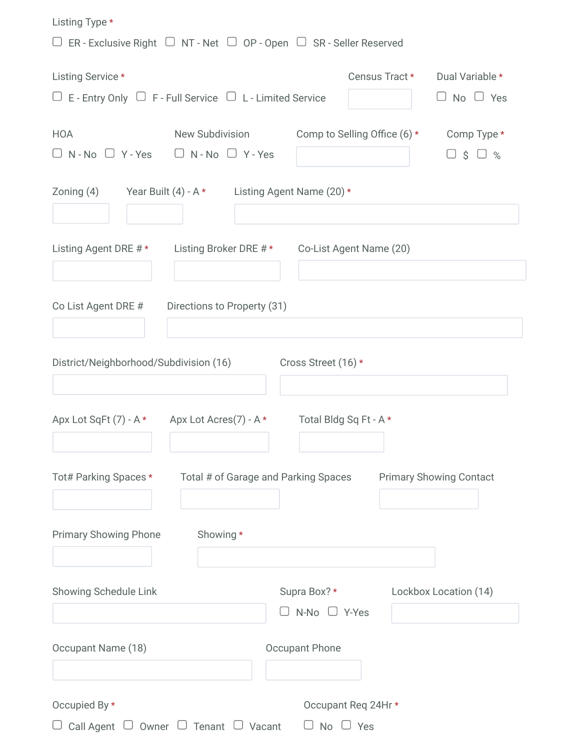| Listing Type *                                                                                |                                                          |                                    |                |                                         |
|-----------------------------------------------------------------------------------------------|----------------------------------------------------------|------------------------------------|----------------|-----------------------------------------|
| $\Box$ ER - Exclusive Right $\Box$ NT - Net $\Box$ OP - Open $\Box$ SR - Seller Reserved      |                                                          |                                    |                |                                         |
| Listing Service *<br>$\Box$ E - Entry Only $\Box$ F - Full Service $\Box$ L - Limited Service |                                                          |                                    | Census Tract * | Dual Variable *<br>$\Box$ No $\Box$ Yes |
| <b>HOA</b><br>$\Box$ N-No $\Box$ Y-Yes $\Box$ N-No $\Box$ Y-Yes                               | New Subdivision Comp to Selling Office (6) * Comp Type * |                                    |                | $S \cup \%$                             |
| Zoning (4) Year Built (4) - A * Listing Agent Name (20) *                                     |                                                          |                                    |                |                                         |
| Listing Agent DRE # * Listing Broker DRE # * Co-List Agent Name (20)                          |                                                          |                                    |                |                                         |
| Co List Agent DRE #                                                                           | Directions to Property (31)                              |                                    |                |                                         |
| District/Neighborhood/Subdivision (16)                                                        |                                                          | Cross Street (16) *                |                |                                         |
| Apx Lot SqFt $(7)$ - A $*$ Apx Lot Acres $(7)$ - A $*$                                        |                                                          | Total Bldg Sq Ft - A *             |                |                                         |
| Tot# Parking Spaces *                                                                         | Total # of Garage and Parking Spaces                     |                                    |                | <b>Primary Showing Contact</b>          |
| <b>Primary Showing Phone</b>                                                                  | Showing *                                                |                                    |                |                                         |
| Showing Schedule Link                                                                         |                                                          | Supra Box?*<br>$N-No$ $\Box$ Y-Yes |                | Lockbox Location (14)                   |
| Occupant Name (18)                                                                            |                                                          | <b>Occupant Phone</b>              |                |                                         |
| Occupied By *                                                                                 |                                                          | Occupant Req 24Hr *                |                |                                         |
| Call Agent                                                                                    | $\Box$ Owner $\Box$ Tenant $\Box$ Vacant                 | $No \cup Yes$                      |                |                                         |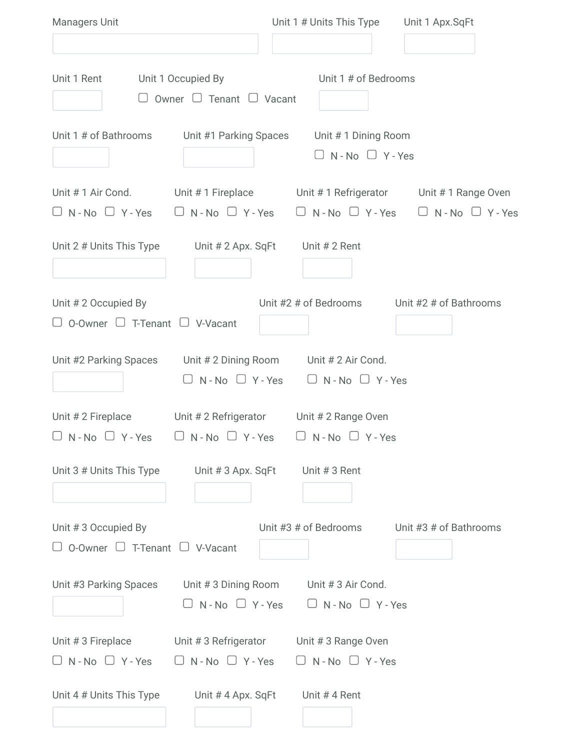| Managers Unit                                                                                    |                                                                | Unit 1 # Units This Type Unit 1 Apx.SqFt                                |                                                                                                     |
|--------------------------------------------------------------------------------------------------|----------------------------------------------------------------|-------------------------------------------------------------------------|-----------------------------------------------------------------------------------------------------|
| Unit 1 Rent                                                                                      | Unit 1 Occupied By<br>$\Box$ Owner $\Box$ Tenant $\Box$ Vacant | Unit 1 # of Bedrooms                                                    |                                                                                                     |
| Unit 1 # of Bathrooms Unit #1 Parking Spaces                                                     |                                                                | Unit #1 Dining Room<br>$\Box$ N - No $\Box$ Y - Yes                     |                                                                                                     |
|                                                                                                  |                                                                |                                                                         | Unit #1 Air Cond. Unit #1 Fireplace Unit #1 Refrigerator Unit #1 Range Oven                         |
|                                                                                                  |                                                                |                                                                         | $\Box$ N-No $\Box$ Y-Yes $\Box$ N-No $\Box$ Y-Yes $\Box$ N-No $\Box$ Y-Yes $\Box$ N-No $\Box$ Y-Yes |
| Unit 2 # Units This Type Unit # 2 Apx. SqFt Unit # 2 Rent                                        |                                                                |                                                                         |                                                                                                     |
| Unit #2 Occupied By                                                                              |                                                                |                                                                         | Unit #2 # of Bedrooms Unit #2 # of Bathrooms                                                        |
| $\Box$ O-Owner $\Box$ T-Tenant $\Box$ V-Vacant                                                   |                                                                |                                                                         |                                                                                                     |
| Unit #2 Parking Spaces Unit # 2 Dining Room Unit # 2 Air Cond.                                   | $\Box$ N - No $\Box$ Y - Yes                                   | $\Box$ N - No $\Box$ Y - Yes                                            |                                                                                                     |
| Unit # 2 Fireplace<br>$\Box$ N-No $\Box$ Y-Yes $\Box$ N-No $\Box$ Y-Yes $\Box$ N-No $\Box$ Y-Yes |                                                                | Unit # 2 Refrigerator Unit # 2 Range Oven                               |                                                                                                     |
| Unit 3 # Units This Type                                                                         | Unit # 3 Apx. SqFt                                             | Unit # 3 Rent                                                           |                                                                                                     |
| Unit #3 Occupied By<br>$\Box$ O-Owner $\Box$ T-Tenant $\Box$ V-Vacant                            |                                                                | Unit #3 # of Bedrooms                                                   | Unit #3 # of Bathrooms                                                                              |
| Unit #3 Parking Spaces                                                                           | $\Box$ N - No $\Box$ Y - Yes                                   | Unit # 3 Dining Room Unit # 3 Air Cond.<br>$\Box$ N - No $\Box$ Y - Yes |                                                                                                     |
| Unit # 3 Fireplace Unit # 3 Refrigerator Unit # 3 Range Oven<br>$\Box$ N - No $\Box$ Y - Yes     | $\Box$ N - No $\Box$ Y - Yes                                   | $\Box$ N - No $\Box$ Y - Yes                                            |                                                                                                     |
| Unit 4 # Units This Type                                                                         | Unit # 4 Apx. SqFt                                             | Unit #4 Rent                                                            |                                                                                                     |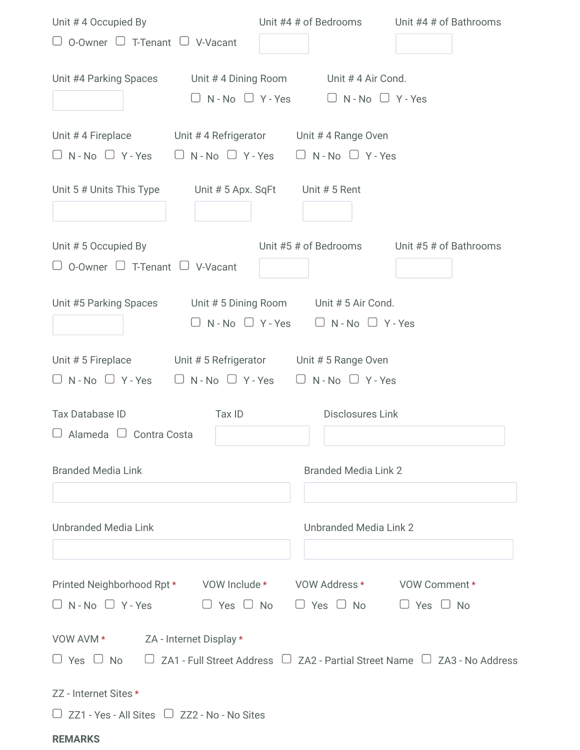| Unit #4 Occupied By                                                               | Unit #4 # of Bedrooms                                                   | Unit #4 # of Bathrooms                                                                    |
|-----------------------------------------------------------------------------------|-------------------------------------------------------------------------|-------------------------------------------------------------------------------------------|
| $\Box$ O-Owner $\Box$ T-Tenant $\Box$ V-Vacant                                    |                                                                         |                                                                                           |
| Unit #4 Parking Spaces<br>Unit #4 Dining Room                                     | Unit #4 Air Cond.                                                       |                                                                                           |
| $\Box$ N - No $\Box$ Y - Yes                                                      | $\Box$ N - No $\Box$ Y - Yes                                            |                                                                                           |
|                                                                                   |                                                                         |                                                                                           |
| Unit #4 Fireplace<br>$\Box$ N - No $\Box$ Y - Yes<br>$\Box$ N - No $\Box$ Y - Yes | Unit #4 Refrigerator Unit #4 Range Oven<br>$\Box$ N - No $\Box$ Y - Yes |                                                                                           |
|                                                                                   |                                                                         |                                                                                           |
| Unit 5 # Units This Type<br>Unit # 5 Apx. SqFt                                    | Unit # 5 Rent                                                           |                                                                                           |
|                                                                                   |                                                                         |                                                                                           |
| Unit #5 Occupied By                                                               | Unit #5 # of Bedrooms                                                   | Unit #5 # of Bathrooms                                                                    |
| $\Box$ O-Owner $\Box$ T-Tenant $\Box$ V-Vacant                                    |                                                                         |                                                                                           |
| Unit #5 Parking Spaces<br>Unit #5 Dining Room                                     | Unit # 5 Air Cond.                                                      |                                                                                           |
| $\Box$ N - No $\Box$ Y - Yes                                                      | $\Box$ N - No $\Box$ Y - Yes                                            |                                                                                           |
|                                                                                   |                                                                         |                                                                                           |
| Unit # 5 Fireplace                                                                | Unit # 5 Refrigerator Unit # 5 Range Oven                               |                                                                                           |
| $\Box$ N - No $\Box$ Y - Yes<br>$\Box$ N - No $\Box$ Y - Yes                      | $\Box$ N - No $\Box$ Y - Yes                                            |                                                                                           |
| Tax Database ID<br>Tax ID                                                         | <b>Disclosures Link</b>                                                 |                                                                                           |
| Alameda $\Box$<br>Contra Costa                                                    |                                                                         |                                                                                           |
|                                                                                   |                                                                         |                                                                                           |
| <b>Branded Media Link</b>                                                         | <b>Branded Media Link 2</b>                                             |                                                                                           |
|                                                                                   |                                                                         |                                                                                           |
| <b>Unbranded Media Link</b>                                                       | Unbranded Media Link 2                                                  |                                                                                           |
|                                                                                   |                                                                         |                                                                                           |
|                                                                                   |                                                                         |                                                                                           |
| Printed Neighborhood Rpt * VOW Include * VOW Address * VOW Comment *              |                                                                         |                                                                                           |
| $\Box$ N - No $\Box$ Y - Yes                                                      | $\Box$ Yes $\Box$ No $\Box$ Yes $\Box$ No                               | $\Box$ Yes $\Box$ No                                                                      |
| VOW AVM * ZA - Internet Display *                                                 |                                                                         |                                                                                           |
| $\Box$ Yes $\Box$ No                                                              |                                                                         | $\Box$ ZA1 - Full Street Address $\Box$ ZA2 - Partial Street Name $\Box$ ZA3 - No Address |
|                                                                                   |                                                                         |                                                                                           |
| ZZ - Internet Sites *                                                             |                                                                         |                                                                                           |
| $\Box$ ZZ1 - Yes - All Sites $\Box$ ZZ2 - No - No Sites                           |                                                                         |                                                                                           |
| <b>REMARKS</b>                                                                    |                                                                         |                                                                                           |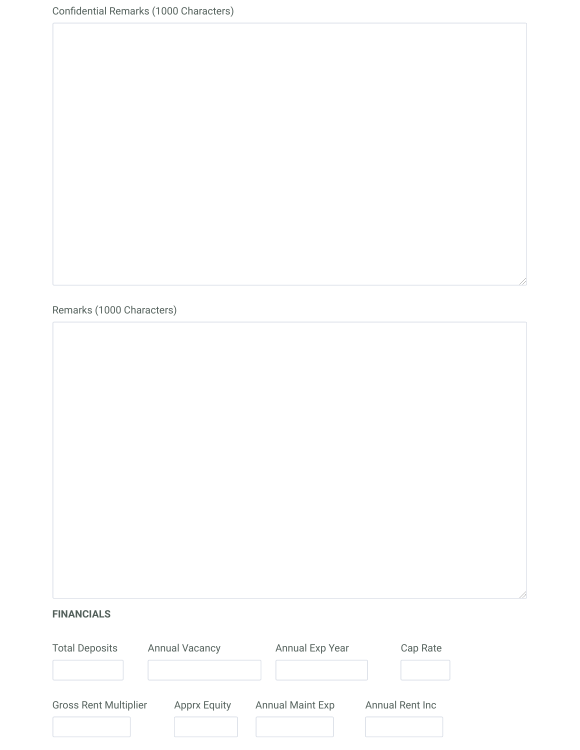Confidential Remarks (1000 Characters)

Remarks (1000 Characters)

## **FINANCIALS**

| <b>Total Deposits</b>        | <b>Annual Vacancy</b> | Annual Exp Year         | Cap Rate        |
|------------------------------|-----------------------|-------------------------|-----------------|
|                              |                       |                         |                 |
| <b>Gross Rent Multiplier</b> | <b>Apprx Equity</b>   | <b>Annual Maint Exp</b> | Annual Rent Inc |
|                              |                       |                         |                 |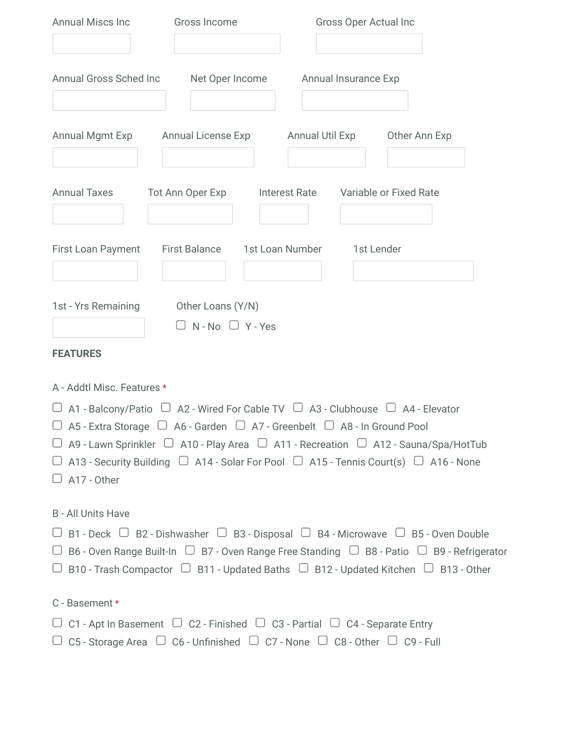| <b>Annual Miscs Inc</b>                                                                                                                                                                                | Gross Income                                      | Gross Oper Actual Inc |                                                                                                                                                                                                                                                                                                                                          |  |  |
|--------------------------------------------------------------------------------------------------------------------------------------------------------------------------------------------------------|---------------------------------------------------|-----------------------|------------------------------------------------------------------------------------------------------------------------------------------------------------------------------------------------------------------------------------------------------------------------------------------------------------------------------------------|--|--|
|                                                                                                                                                                                                        |                                                   |                       |                                                                                                                                                                                                                                                                                                                                          |  |  |
| Annual Gross Sched Inc                                                                                                                                                                                 | Net Oper Income                                   |                       | Annual Insurance Exp                                                                                                                                                                                                                                                                                                                     |  |  |
| Annual Mgmt Exp                                                                                                                                                                                        | Annual License Exp                                |                       | <b>Annual Util Exp</b><br>Other Ann Exp                                                                                                                                                                                                                                                                                                  |  |  |
| <b>Annual Taxes</b>                                                                                                                                                                                    | Tot Ann Oper Exp                                  |                       | Interest Rate Variable or Fixed Rate                                                                                                                                                                                                                                                                                                     |  |  |
| First Loan Payment                                                                                                                                                                                     | First Balance 1st Loan Number                     |                       | 1st Lender                                                                                                                                                                                                                                                                                                                               |  |  |
| 1st - Yrs Remaining                                                                                                                                                                                    | Other Loans (Y/N)<br>$\Box$ N - No $\Box$ Y - Yes |                       |                                                                                                                                                                                                                                                                                                                                          |  |  |
| <b>FEATURES</b>                                                                                                                                                                                        |                                                   |                       |                                                                                                                                                                                                                                                                                                                                          |  |  |
| A - Addtl Misc. Features *                                                                                                                                                                             |                                                   |                       |                                                                                                                                                                                                                                                                                                                                          |  |  |
| $\Box$ A5 - Extra Storage $\Box$ A6 - Garden $\Box$ A7 - Greenbelt $\Box$ A8 - In Ground Pool<br>$\Box$ A17 - Other                                                                                    |                                                   |                       | $\Box$ A1 - Balcony/Patio $\Box$ A2 - Wired For Cable TV $\Box$ A3 - Clubhouse $\Box$ A4 - Elevator<br>$\Box$ A9 - Lawn Sprinkler $\Box$ A10 - Play Area $\Box$ A11 - Recreation $\Box$ A12 - Sauna/Spa/HotTub<br>$\Box$ A13 - Security Building $\Box$ A14 - Solar For Pool $\Box$ A15 - Tennis Court(s) $\Box$ A16 - None              |  |  |
| <b>B</b> - All Units Have                                                                                                                                                                              |                                                   |                       |                                                                                                                                                                                                                                                                                                                                          |  |  |
|                                                                                                                                                                                                        |                                                   |                       | $\Box$ B1 - Deck $\Box$ B2 - Dishwasher $\Box$ B3 - Disposal $\Box$ B4 - Microwave $\Box$ B5 - Oven Double<br>$\Box$ B6 - Oven Range Built-In $\Box$ B7 - Oven Range Free Standing $\Box$ B8 - Patio $\Box$ B9 - Refrigerator<br>$\Box$ B10 - Trash Compactor $\Box$ B11 - Updated Baths $\Box$ B12 - Updated Kitchen $\Box$ B13 - Other |  |  |
| C - Basement *                                                                                                                                                                                         |                                                   |                       |                                                                                                                                                                                                                                                                                                                                          |  |  |
| $\Box$ C1 - Apt In Basement $\Box$ C2 - Finished $\Box$ C3 - Partial $\Box$ C4 - Separate Entry<br>$\Box$ C5 - Storage Area $\Box$ C6 - Unfinished $\Box$ C7 - None $\Box$ C8 - Other $\Box$ C9 - Full |                                                   |                       |                                                                                                                                                                                                                                                                                                                                          |  |  |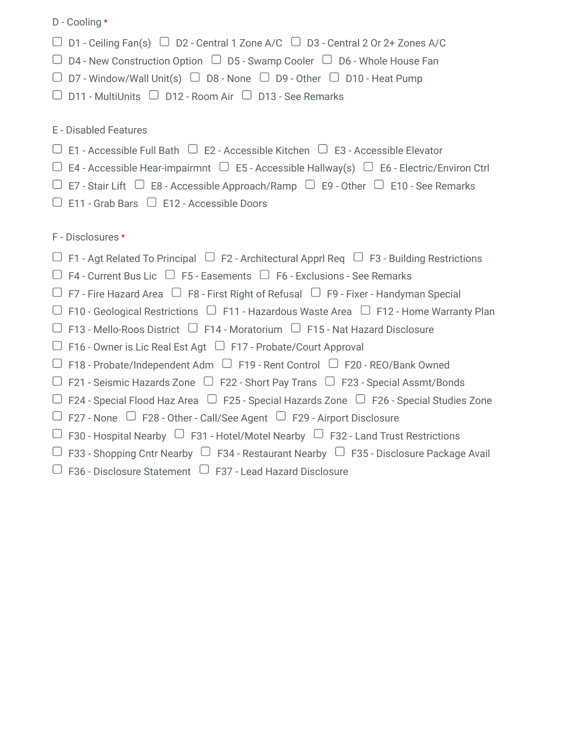D - Cooling \* E - Disabled Features F - Disclosures \*  $\Box$  D1 - Ceiling Fan(s)  $\Box$  D2 - Central 1 Zone A/C  $\Box$  D3 - Central 2 Or 2+ Zones A/C  $\Box$  D4 - New Construction Option  $\Box$  D5 - Swamp Cooler  $\Box$  D6 - Whole House Fan  $\Box$  D7 - Window/Wall Unit(s)  $\Box$  D8 - None  $\Box$  D9 - Other  $\Box$  D10 - Heat Pump  $\Box$  D11 - MultiUnits  $\Box$  D12 - Room Air  $\Box$  D13 - See Remarks  $\Box$  E1 - Accessible Full Bath  $\Box$  E2 - Accessible Kitchen  $\Box$  E3 - Accessible Elevator  $\Box$  E4 - Accessible Hear-impairmnt  $\Box$  E5 - Accessible Hallway(s)  $\Box$  E6 - Electric/Environ Ctrl  $\Box$  E7 - Stair Lift  $\Box$  E8 - Accessible Approach/Ramp  $\Box$  E9 - Other  $\Box$  E10 - See Remarks  $\Box$  E11 - Grab Bars  $\Box$  E12 - Accessible Doors  $\Box$  F1 - Agt Related To Principal  $\Box$  F2 - Architectural Apprl Req  $\Box$  F3 - Building Restrictions  $\Box$  F4 - Current Bus Lic  $\Box$  F5 - Easements  $\Box$  F6 - Exclusions - See Remarks  $\Box$  F7 - Fire Hazard Area  $\Box$  F8 - First Right of Refusal  $\Box$  F9 - Fixer - Handyman Special  $\Box$  F10 - Geological Restrictions  $\Box$  F11 - Hazardous Waste Area  $\Box$  F12 - Home Warranty Plan  $\Box$  F13 - Mello-Roos District  $\Box$  F14 - Moratorium  $\Box$  F15 - Nat Hazard Disclosure  $\Box$  F16 - Owner is Lic Real Est Agt  $\Box$  F17 - Probate/Court Approval  $\Box$  F18 - Probate/Independent Adm  $\Box$  F19 - Rent Control  $\Box$  F20 - REO/Bank Owned  $\Box$  F21 - Seismic Hazards Zone  $\Box$  F22 - Short Pay Trans  $\Box$  F23 - Special Assmt/Bonds  $\Box$  F24 - Special Flood Haz Area  $\Box$  F25 - Special Hazards Zone  $\Box$  F26 - Special Studies Zone  $\Box$  F27 - None  $\Box$  F28 - Other - Call/See Agent  $\Box$  F29 - Airport Disclosure  $\Box$  F30 - Hospital Nearby  $\Box$  F31 - Hotel/Motel Nearby  $\Box$  F32 - Land Trust Restrictions  $\Box$  F33 - Shopping Cntr Nearby  $\Box$  F34 - Restaurant Nearby  $\Box$  F35 - Disclosure Package Avail  $\Box$  F36 - Disclosure Statement  $\Box$  F37 - Lead Hazard Disclosure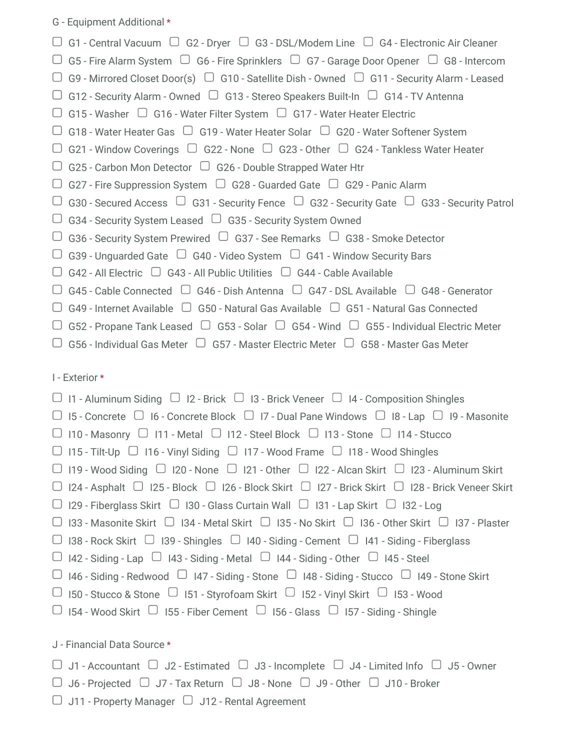G - Equipment Additional \*

| $\Box$ G1 - Central Vacuum $\Box$ G2 - Dryer $\Box$ G3 - DSL/Modem Line $\Box$ G4 - Electronic Air Cleaner                     |
|--------------------------------------------------------------------------------------------------------------------------------|
| $\Box$ G5 - Fire Alarm System $\Box$ G6 - Fire Sprinklers $\Box$ G7 - Garage Door Opener $\Box$ G8 - Intercom                  |
| $\Box$ G9 - Mirrored Closet Door(s) $\Box$ G10 - Satellite Dish - Owned $\Box$ G11 - Security Alarm - Leased                   |
| $\Box$ G12 - Security Alarm - Owned $\Box$ G13 - Stereo Speakers Built-In $\Box$ G14 - TV Antenna                              |
| $\Box$ G15 - Washer $\Box$ G16 - Water Filter System $\Box$ G17 - Water Heater Electric                                        |
| $\Box$ G18 - Water Heater Gas $\Box$ G19 - Water Heater Solar $\Box$ G20 - Water Softener System                               |
| $\Box$ G21 - Window Coverings $\Box$ G22 - None $\Box$ G23 - Other $\Box$ G24 - Tankless Water Heater                          |
| $\Box$ G25 - Carbon Mon Detector $\Box$ G26 - Double Strapped Water Htr                                                        |
| $\Box$ G27 - Fire Suppression System $\Box$ G28 - Guarded Gate $\Box$ G29 - Panic Alarm                                        |
| $\Box$ G30 - Secured Access $\Box$ G31 - Security Fence $\Box$ G32 - Security Gate $\Box$ G33 - Security Patrol                |
| G34 - Security System Leased $\cup$ G35 - Security System Owned                                                                |
| G36 - Security System Prewired $\cup$ G37 - See Remarks $\cup$ G38 - Smoke Detector                                            |
| G39 - Unguarded Gate $\cup$ G40 - Video System $\cup$ G41 - Window Security Bars                                               |
| G42 - All Electric $\Box$ G43 - All Public Utilities $\Box$ G44 - Cable Available                                              |
| G45 - Cable Connected $\Box$ G46 - Dish Antenna $\Box$ G47 - DSL Available $\Box$ G48 - Generator                              |
| $\Box$ G49 - Internet Available $\Box$ G50 - Natural Gas Available $\Box$ G51 - Natural Gas Connected                          |
| $\mid$ G52 - Propane Tank Leased $\;\;\cup\;$ G53 - Solar $\;\;\cup\;$ G54 - Wind $\;\;\cup\;$ G55 - Individual Electric Meter |
| G56 - Individual Gas Meter $\Box$ G57 - Master Electric Meter $\Box$ G58 - Master Gas Meter                                    |
|                                                                                                                                |

I - Exterior \*

| $\Box$ 11 - Aluminum Siding $\Box$ 12 - Brick $\Box$ 13 - Brick Veneer $\Box$ 14 - Composition Shingles                   |
|---------------------------------------------------------------------------------------------------------------------------|
|                                                                                                                           |
| $\Box$ 15 - Concrete $\Box$ 16 - Concrete Block $\Box$ 17 - Dual Pane Windows $\Box$ 18 - Lap $\Box$ 19 - Masonite        |
| $\Box$ 110 - Masonry $\Box$ 111 - Metal $\Box$ 112 - Steel Block $\Box$ 113 - Stone $\Box$ 114 - Stucco                   |
| $\Box$ 115 - Tilt-Up $\Box$ 116 - Vinyl Siding $\Box$ 117 - Wood Frame $\Box$ 118 - Wood Shingles                         |
| $\Box$ 119 - Wood Siding $\Box$ 120 - None $\Box$ 121 - Other $\Box$ 122 - Alcan Skirt $\Box$ 123 - Aluminum Skirt        |
| $\Box$ 124 - Asphalt $\Box$ 125 - Block $\Box$ 126 - Block Skirt $\Box$ 127 - Brick Skirt $\Box$ 128 - Brick Veneer Skirt |
| □ 129 - Fiberglass Skirt □ 130 - Glass Curtain Wall □ 131 - Lap Skirt □ 132 - Log                                         |
| □ 133 - Masonite Skirt □ 134 - Metal Skirt □ 135 - No Skirt □ 136 - Other Skirt □ 137 - Plaster                           |
| $\Box$ 138 - Rock Skirt $\Box$ 139 - Shingles $\Box$ 140 - Siding - Cement $\Box$ 141 - Siding - Fiberglass               |
| $\Box$ 142 - Siding - Lap $\Box$ 143 - Siding - Metal $\Box$ 144 - Siding - Other $\Box$ 145 - Steel                      |
| □ 146 - Siding - Redwood □ 147 - Siding - Stone □ 148 - Siding - Stucco □ 149 - Stone Skirt                               |
| □ 150 - Stucco & Stone □ 151 - Styrofoam Skirt □ 152 - Vinyl Skirt □ 153 - Wood                                           |
| $\Box$ 154 - Wood Skirt $\Box$ 155 - Fiber Cement $\Box$ 156 - Glass $\Box$ 157 - Siding - Shingle                        |
|                                                                                                                           |
| J - Financial Data Source *                                                                                               |

 $\Box$  J1 - Accountant  $\Box$  J2 - Estimated  $\Box$  J3 - Incomplete  $\Box$  J4 - Limited Info  $\Box$  J5 - Owner

- $\Box$  J6 Projected  $\Box$  J7 Tax Return  $\Box$  J8 None  $\Box$  J9 Other  $\Box$  J10 Broker
- $\Box$  J11 Property Manager  $\Box$  J12 Rental Agreement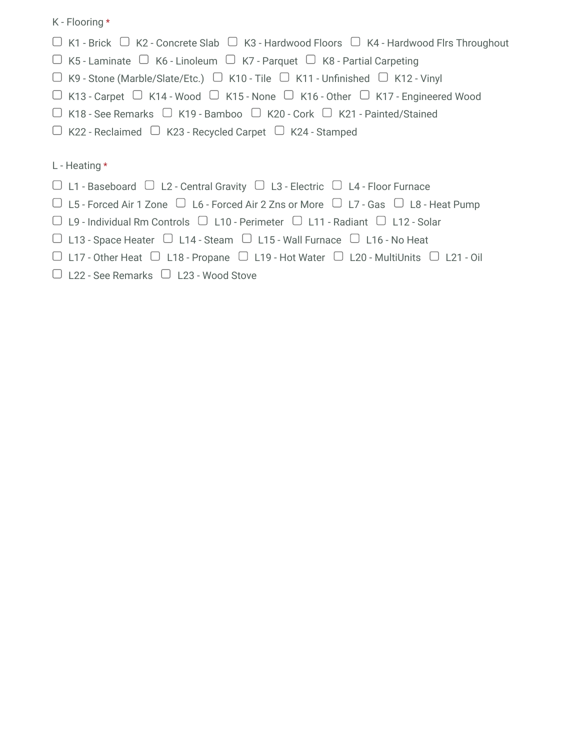K - Flooring \*

- $\Box$  K1 Brick  $\Box$  K2 Concrete Slab  $\Box$  K3 Hardwood Floors  $\Box$  K4 Hardwood Flrs Throughout
- $\Box$  K5 Laminate  $\Box$  K6 Linoleum  $\Box$  K7 Parquet  $\Box$  K8 Partial Carpeting
- $\Box$  K9 Stone (Marble/Slate/Etc.)  $\Box$  K10 Tile  $\Box$  K11 Unfinished  $\Box$  K12 Vinyl
- $\Box$  K13 Carpet  $\Box$  K14 Wood  $\Box$  K15 None  $\Box$  K16 Other  $\Box$  K17 Engineered Wood
- $\Box$  K18 See Remarks  $\Box$  K19 Bamboo  $\Box$  K20 Cork  $\Box$  K21 Painted/Stained
- $\Box$  K22 Reclaimed  $\Box$  K23 Recycled Carpet  $\Box$  K24 Stamped

## L - Heating \*

- $\Box$  L1 Baseboard  $\Box$  L2 Central Gravity  $\Box$  L3 Electric  $\Box$  L4 Floor Furnace
- $\Box$  L5 Forced Air 1 Zone  $\Box$  L6 Forced Air 2 Zns or More  $\Box$  L7 Gas  $\Box$  L8 Heat Pump
- $\Box$  L9 Individual Rm Controls  $\Box$  L10 Perimeter  $\Box$  L11 Radiant  $\Box$  L12 Solar
- $\Box$  L13 Space Heater  $\Box$  L14 Steam  $\Box$  L15 Wall Furnace  $\Box$  L16 No Heat
- $\Box$  L17 Other Heat  $\Box$  L18 Propane  $\Box$  L19 Hot Water  $\Box$  L20 MultiUnits  $\Box$  L21 Oil
- $\Box$  L22 See Remarks  $\Box$  L23 Wood Stove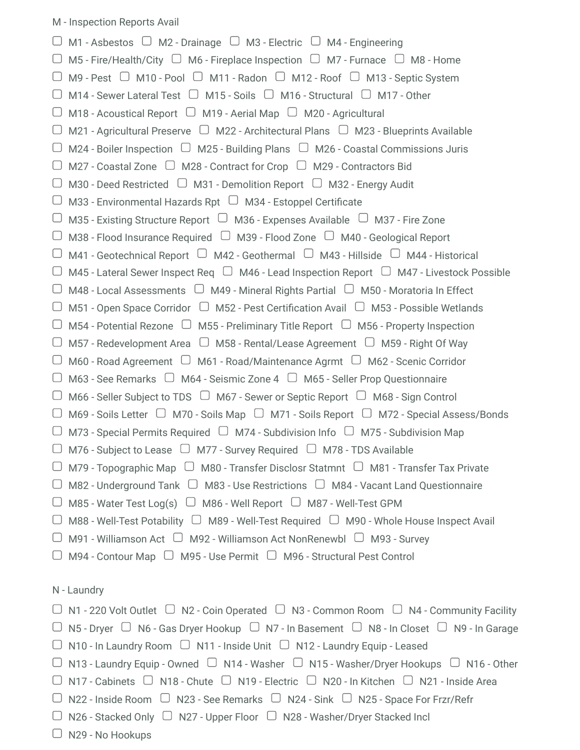|        | $\Box$ M1 - Asbestos $\Box$ M2 - Drainage $\Box$ M3 - Electric $\Box$ M4 - Engineering                             |
|--------|--------------------------------------------------------------------------------------------------------------------|
|        | $\Box$ M5 - Fire/Health/City $\Box$ M6 - Fireplace Inspection $\Box$ M7 - Furnace $\Box$ M8 - Home                 |
|        | $\Box$ M9 - Pest $\Box$ M10 - Pool $\Box$ M11 - Radon $\Box$ M12 - Roof $\Box$ M13 - Septic System                 |
|        | M14 - Sewer Lateral Test $\Box$ M15 - Soils $\Box$ M16 - Structural $\Box$ M17 - Other                             |
|        | M18 - Acoustical Report $\Box$ M19 - Aerial Map $\Box$ M20 - Agricultural                                          |
|        | M21 - Agricultural Preserve $\Box$ M22 - Architectural Plans $\Box$ M23 - Blueprints Available                     |
|        | M24 - Boiler Inspection $\Box$ M25 - Building Plans $\Box$ M26 - Coastal Commissions Juris                         |
|        | M27 - Coastal Zone $\Box$ M28 - Contract for Crop $\Box$ M29 - Contractors Bid                                     |
| $\cup$ | M30 - Deed Restricted $\Box$ M31 - Demolition Report $\Box$ M32 - Energy Audit                                     |
| $\cup$ | M33 - Environmental Hazards Rpt $\Box$ M34 - Estoppel Certificate                                                  |
| U      | M35 - Existing Structure Report $\cup$ M36 - Expenses Available $\cup$ M37 - Fire Zone                             |
|        | M38 - Flood Insurance Required $\Box$ M39 - Flood Zone $\Box$ M40 - Geological Report                              |
|        | M41 - Geotechnical Report $\cup$ M42 - Geothermal $\cup$ M43 - Hillside $\cup$ M44 - Historical                    |
|        | M45 - Lateral Sewer Inspect Req $\Box$ M46 - Lead Inspection Report $\Box$ M47 - Livestock Possible                |
|        | M48 - Local Assessments $\Box$ M49 - Mineral Rights Partial $\Box$ M50 - Moratoria In Effect                       |
|        | M51 - Open Space Corridor $\Box$ M52 - Pest Certification Avail $\Box$ M53 - Possible Wetlands                     |
|        | M54 - Potential Rezone $\Box$ M55 - Preliminary Title Report $\Box$ M56 - Property Inspection                      |
| U      | M57 - Redevelopment Area $\Box$ M58 - Rental/Lease Agreement $\Box$ M59 - Right Of Way                             |
|        | M60 - Road Agreement $\Box$ M61 - Road/Maintenance Agrmt $\Box$ M62 - Scenic Corridor                              |
| U      | M63 - See Remarks $\Box$ M64 - Seismic Zone 4 $\Box$ M65 - Seller Prop Questionnaire                               |
|        | $\Box$ M66 - Seller Subject to TDS $\Box$ M67 - Sewer or Septic Report $\Box$ M68 - Sign Control                   |
|        | $\Box$ M69 - Soils Letter $\Box$ M70 - Soils Map $\Box$ M71 - Soils Report $\Box$ M72 - Special Assess/Bonds       |
|        | M73 - Special Permits Required $\Box$ M74 - Subdivision Info $\Box$ M75 - Subdivision Map                          |
|        | $\Box$ M76 - Subject to Lease $\Box$ M77 - Survey Required $\Box$ M78 - TDS Available                              |
|        | $\Box$ M79 - Topographic Map $\Box$ M80 - Transfer Disclosr Statmnt $\Box$ M81 - Transfer Tax Private              |
| ∪      | M82 - Underground Tank $\Box$ M83 - Use Restrictions $\Box$ M84 - Vacant Land Questionnaire                        |
|        | $\Box$ M85 - Water Test Log(s) $\Box$ M86 - Well Report $\Box$ M87 - Well-Test GPM                                 |
|        | $\Box$ M88 - Well-Test Potability $\Box$ M89 - Well-Test Required $\Box$ M90 - Whole House Inspect Avail           |
|        | $\Box$ M91 - Williamson Act $\Box$ M92 - Williamson Act NonRenewbl $\Box$ M93 - Survey                             |
|        | $\Box$ M94 - Contour Map $\Box$ M95 - Use Permit $\Box$ M96 - Structural Pest Control                              |
|        | N - Laundry                                                                                                        |
|        | $\Box$ N1 - 220 Volt Outlet $\Box$ N2 - Coin Operated $\Box$ N3 - Common Room $\Box$ N4 - Community Facility       |
|        | $\Box$ N5 - Dryer $\Box$ N6 - Gas Dryer Hookup $\Box$ N7 - In Basement $\Box$ N8 - In Closet $\Box$ N9 - In Garage |
|        | $\Box$ N10 - In Laundry Room $\Box$ N11 - Inside Unit $\Box$ N12 - Laundry Equip - Leased                          |
|        | $\Box$ N13 - Laundry Equip - Owned $\Box$ N14 - Washer $\Box$ N15 - Washer/Dryer Hookups $\Box$ N16 - Other        |
|        | $\Box$ N17 - Cabinets $\Box$ N18 - Chute $\Box$ N19 - Electric $\Box$ N20 - In Kitchen $\Box$ N21 - Inside Area    |
|        | $\Box$ N22 - Inside Room $\Box$ N23 - See Remarks $\Box$ N24 - Sink $\Box$ N25 - Space For Frzr/Refr               |
|        |                                                                                                                    |

- $\Box$  N26 Stacked Only  $\Box$  N27 Upper Floor  $\Box$  N28 Washer/Dryer Stacked Incl
- N29 No Hookups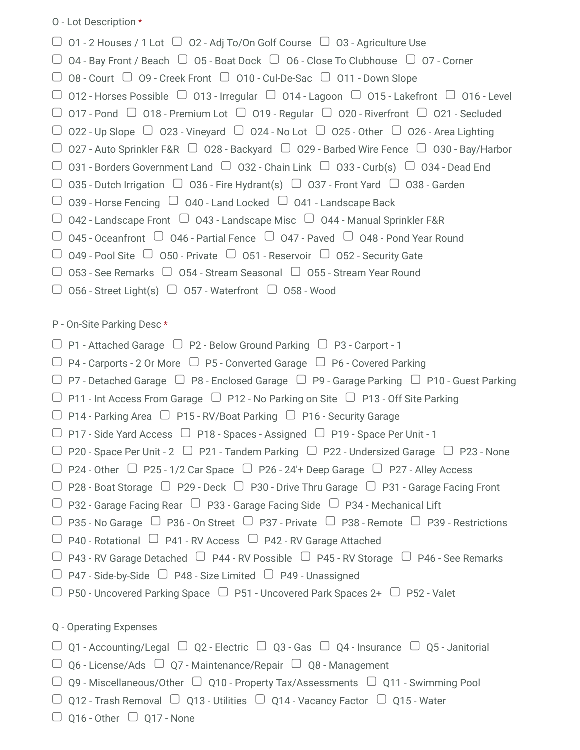O - Lot Description \*

| $\Box$ 01 - 2 Houses / 1 Lot $\Box$ 02 - Adj To/On Golf Course $\Box$ 03 - Agriculture Use                                                                                   |
|------------------------------------------------------------------------------------------------------------------------------------------------------------------------------|
| $\Box$ 04 - Bay Front / Beach $\Box$ 05 - Boat Dock $\Box$ 06 - Close To Clubhouse $\Box$ 07 - Corner                                                                        |
| $\Box$ 08 - Court $\Box$ 09 - Creek Front $\Box$ 010 - Cul-De-Sac $\Box$ 011 - Down Slope                                                                                    |
| $\Box$ 012 - Horses Possible $\Box$ 013 - Irregular $\Box$ 014 - Lagoon $\Box$ 015 - Lakefront $\Box$ 016 - Level                                                            |
| $\Box$ 017 - Pond $\Box$ 018 - Premium Lot $\Box$ 019 - Regular $\Box$ 020 - Riverfront $\Box$ 021 - Secluded                                                                |
| $\Box$ 022 - Up Slope $\Box$ 023 - Vineyard $\Box$ 024 - No Lot $\Box$ 025 - 0ther $\Box$ 026 - Area Lighting                                                                |
| $\Box$ 027 - Auto Sprinkler F&R $\Box$ 028 - Backyard $\Box$ 029 - Barbed Wire Fence $\Box$ 030 - Bay/Harbor                                                                 |
| $\Box$ 031 - Borders Government Land $\Box$ 032 - Chain Link $\Box$ 033 - Curb(s) $\Box$ 034 - Dead End                                                                      |
| $\Box$ 035 - Dutch Irrigation $\Box$ 036 - Fire Hydrant(s) $\Box$ 037 - Front Yard $\Box$ 038 - Garden                                                                       |
| $\Box$ 039 - Horse Fencing $\Box$ 040 - Land Locked $\Box$ 041 - Landscape Back                                                                                              |
| $\Box$ 042 - Landscape Front $\Box$ 043 - Landscape Misc $\Box$ 044 - Manual Sprinkler F&R                                                                                   |
| $\Box$ 045 - Oceanfront $\Box$ 046 - Partial Fence $\Box$ 047 - Paved $\Box$ 048 - Pond Year Round                                                                           |
| $\Box$ 049 - Pool Site $\Box$ 050 - Private $\Box$ 051 - Reservoir $\Box$ 052 - Security Gate                                                                                |
| $\Box$ 053 - See Remarks $\Box$ 054 - Stream Seasonal $\Box$ 055 - Stream Year Round                                                                                         |
| $\Box$ 056 - Street Light(s) $\Box$ 057 - Waterfront $\Box$ 058 - Wood                                                                                                       |
| P - On-Site Parking Desc*                                                                                                                                                    |
| $\Box$ P1 - Attached Garage $\Box$ P2 - Below Ground Parking $\Box$ P3 - Carport - 1                                                                                         |
| $\Box$ P4 - Carports - 2 Or More $\Box$ P5 - Converted Garage $\Box$ P6 - Covered Parking                                                                                    |
| $\Box$ P7 - Detached Garage $\Box$ P8 - Enclosed Garage $\Box$ P9 - Garage Parking $\Box$ P10 - Guest Parking                                                                |
| $\Box$ P11 - Int Access From Garage $\Box$ P12 - No Parking on Site $\Box$ P13 - Off Site Parking                                                                            |
| $\Box$ P14 - Parking Area $\Box$ P15 - RV/Boat Parking $\Box$ P16 - Security Garage                                                                                          |
| $\Box$ P17 - Side Yard Access $\Box$ P18 - Spaces - Assigned $\Box$ P19 - Space Per Unit - 1                                                                                 |
| $\Box$ P20 - Space Per Unit - 2 $\Box$ P21 - Tandem Parking $\Box$ P22 - Undersized Garage $\Box$ P23 - None                                                                 |
| $\Box$ P24 - Other $\Box$ P25 - 1/2 Car Space $\Box$ P26 - 24'+ Deep Garage $\Box$ P27 - Alley Access                                                                        |
| $\Box$ P28 - Boat Storage $\Box$ P29 - Deck $\Box$ P30 - Drive Thru Garage $\Box$ P31 - Garage Facing Front                                                                  |
| $\Box$ P32 - Garage Facing Rear $\Box$ P33 - Garage Facing Side $\Box$ P34 - Mechanical Lift                                                                                 |
| $\Box$ P35 - No Garage $\Box$ P36 - On Street $\Box$ P37 - Private $\Box$ P38 - Remote $\Box$ P39 - Restrictions                                                             |
| $\Box$ P40 - Rotational $\Box$ P41 - RV Access $\Box$ P42 - RV Garage Attached                                                                                               |
| $\Box$ P43 - RV Garage Detached $\Box$ P44 - RV Possible $\Box$ P45 - RV Storage $\Box$ P46 - See Remarks                                                                    |
|                                                                                                                                                                              |
|                                                                                                                                                                              |
| $\Box$ P47 - Side-by-Side $\Box$ P48 - Size Limited $\Box$ P49 - Unassigned<br>$\Box$ P50 - Uncovered Parking Space $\Box$ P51 - Uncovered Park Spaces 2+ $\Box$ P52 - Valet |
|                                                                                                                                                                              |
| Q - Operating Expenses                                                                                                                                                       |
| $\Box$ Q1 - Accounting/Legal $\Box$ Q2 - Electric $\Box$ Q3 - Gas $\Box$ Q4 - Insurance $\Box$ Q5 - Janitorial                                                               |
| $\Box$ Q6 - License/Ads $\Box$ Q7 - Maintenance/Repair $\Box$ Q8 - Management                                                                                                |
| $\Box$ Q9 - Miscellaneous/Other $\Box$ Q10 - Property Tax/Assessments $\Box$ Q11 - Swimming Pool                                                                             |

 $\Box$  Q16 - Other  $\Box$  Q17 - None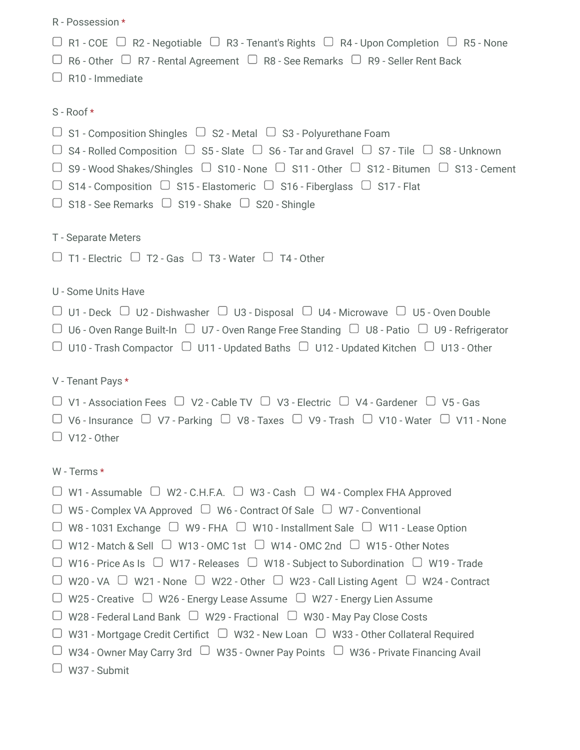| R - Possession *                                                                                                                                                                                                                                                                                                                                                                                                                                                                                                                                                                                                                                                                                                                                        |
|---------------------------------------------------------------------------------------------------------------------------------------------------------------------------------------------------------------------------------------------------------------------------------------------------------------------------------------------------------------------------------------------------------------------------------------------------------------------------------------------------------------------------------------------------------------------------------------------------------------------------------------------------------------------------------------------------------------------------------------------------------|
| $\Box$ R1 - COE $\Box$ R2 - Negotiable $\Box$ R3 - Tenant's Rights $\Box$ R4 - Upon Completion $\Box$ R5 - None<br>$\Box$ R6 - Other $\Box$ R7 - Rental Agreement $\Box$ R8 - See Remarks $\Box$ R9 - Seller Rent Back<br>$\Box$ R10 - Immediate                                                                                                                                                                                                                                                                                                                                                                                                                                                                                                        |
| S - Roof *                                                                                                                                                                                                                                                                                                                                                                                                                                                                                                                                                                                                                                                                                                                                              |
| $\Box$ S1 - Composition Shingles $\Box$ S2 - Metal $\Box$ S3 - Polyurethane Foam<br>$\Box$ S4 - Rolled Composition $\Box$ S5 - Slate $\Box$ S6 - Tar and Gravel $\Box$ S7 - Tile $\Box$ S8 - Unknown<br>$\Box$ S9 - Wood Shakes/Shingles $\Box$ S10 - None $\Box$ S11 - Other $\Box$ S12 - Bitumen $\Box$ S13 - Cement<br>$\Box$ S14 - Composition $\Box$ S15 - Elastomeric $\Box$ S16 - Fiberglass $\Box$ S17 - Flat<br>$\Box$ S18 - See Remarks $\Box$ S19 - Shake $\Box$ S20 - Shingle                                                                                                                                                                                                                                                               |
| T - Separate Meters<br>$\Box$ T1 - Electric $\Box$ T2 - Gas $\Box$ T3 - Water $\Box$ T4 - Other                                                                                                                                                                                                                                                                                                                                                                                                                                                                                                                                                                                                                                                         |
| U - Some Units Have<br>$\Box$ U1 - Deck $\Box$ U2 - Dishwasher $\Box$ U3 - Disposal $\Box$ U4 - Microwave $\Box$ U5 - Oven Double<br>$\Box$ U6 - Oven Range Built-In $\Box$ U7 - Oven Range Free Standing $\Box$ U8 - Patio $\Box$ U9 - Refrigerator<br>$\Box$ U10 - Trash Compactor $\Box$ U11 - Updated Baths $\Box$ U12 - Updated Kitchen $\Box$ U13 - Other                                                                                                                                                                                                                                                                                                                                                                                         |
| V - Tenant Pays *                                                                                                                                                                                                                                                                                                                                                                                                                                                                                                                                                                                                                                                                                                                                       |
| $\Box$ V1 - Association Fees $\Box$ V2 - Cable TV $\Box$ V3 - Electric $\Box$ V4 - Gardener $\Box$ V5 - Gas<br>$\Box$ V6 - Insurance $\Box$ V7 - Parking $\Box$ V8 - Taxes $\Box$ V9 - Trash $\Box$ V10 - Water $\Box$ V11 - None<br>$\Box$ V12 - Other                                                                                                                                                                                                                                                                                                                                                                                                                                                                                                 |
| W - Terms *                                                                                                                                                                                                                                                                                                                                                                                                                                                                                                                                                                                                                                                                                                                                             |
| $\Box$ W1 - Assumable $\Box$ W2 - C.H.F.A. $\Box$ W3 - Cash $\Box$ W4 - Complex FHA Approved<br>W5 - Complex VA Approved $\Box$ W6 - Contract Of Sale $\Box$ W7 - Conventional<br>W8 - 1031 Exchange $\Box$ W9 - FHA $\Box$ W10 - Installment Sale $\Box$ W11 - Lease Option<br>W12 - Match & Sell $\Box$ W13 - OMC 1st $\Box$ W14 - OMC 2nd $\Box$ W15 - Other Notes<br>W16 - Price As Is $\Box$ W17 - Releases $\Box$ W18 - Subject to Subordination $\Box$ W19 - Trade<br>W20 - VA $\Box$ W21 - None $\Box$ W22 - Other $\Box$ W23 - Call Listing Agent $\Box$ W24 - Contract<br>W25 - Creative $\Box$ W26 - Energy Lease Assume $\Box$ W27 - Energy Lien Assume<br>W28 - Federal Land Bank $\Box$ W29 - Fractional $\Box$ W30 - May Pay Close Costs |
| W31 - Mortgage Credit Certifict $\Box$ W32 - New Loan $\Box$ W33 - Other Collateral Required<br>W34 - Owner May Carry 3rd $\Box$ W35 - Owner Pay Points $\Box$ W36 - Private Financing Avail<br>W37 - Submit                                                                                                                                                                                                                                                                                                                                                                                                                                                                                                                                            |